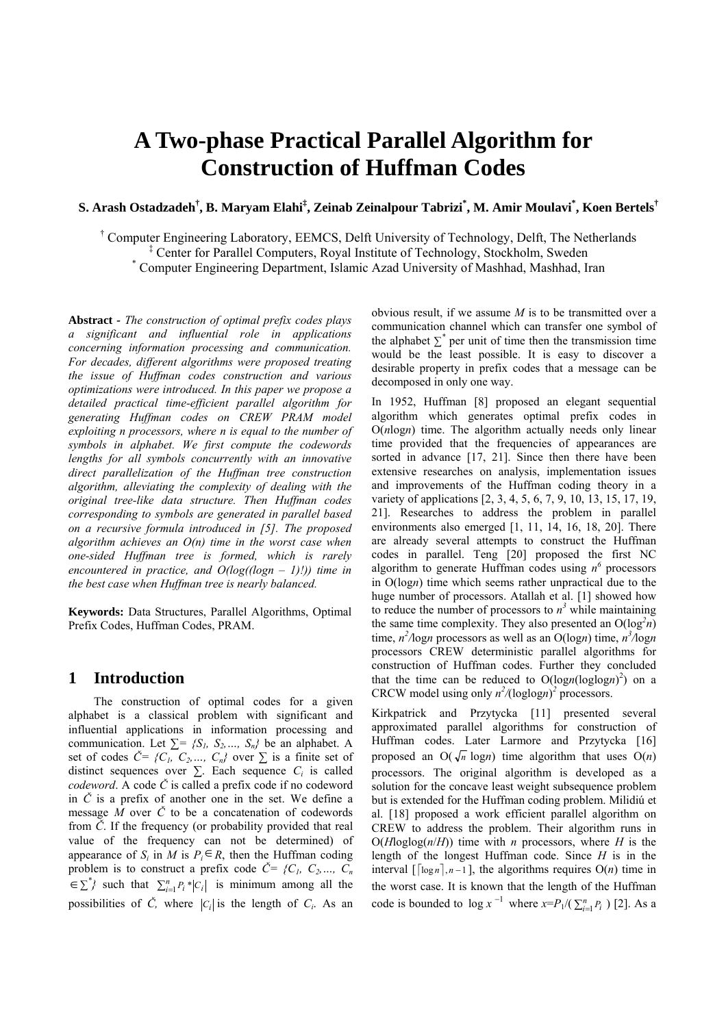# **A Two-phase Practical Parallel Algorithm for Construction of Huffman Codes**

# **S. Arash Ostadzadeh† , B. Maryam Elahi‡ , Zeinab Zeinalpour Tabrizi\* , M. Amir Moulavi\* , Koen Bertels†**

† Computer Engineering Laboratory, EEMCS, Delft University of Technology, Delft, The Netherlands <sup>‡</sup> Center for Parallel Computers, Royal Institute of Technology, Stockholm, Sweden \* Computer Engineering Department Jalamie A ged University of Mechhod, Mechhod, J

Computer Engineering Department, Islamic Azad University of Mashhad, Mashhad, Iran

**Abstract** *- The construction of optimal prefix codes plays a significant and influential role in applications concerning information processing and communication. For decades, different algorithms were proposed treating the issue of Huffman codes construction and various optimizations were introduced. In this paper we propose a detailed practical time-efficient parallel algorithm for generating Huffman codes on CREW PRAM model exploiting n processors, where n is equal to the number of symbols in alphabet. We first compute the codewords lengths for all symbols concurrently with an innovative direct parallelization of the Huffman tree construction algorithm, alleviating the complexity of dealing with the original tree-like data structure. Then Huffman codes corresponding to symbols are generated in parallel based on a recursive formula introduced in [5]. The proposed algorithm achieves an O(n) time in the worst case when one-sided Huffman tree is formed, which is rarely encountered in practice, and O(log((logn – 1)!)) time in the best case when Huffman tree is nearly balanced.* 

**Keywords:** Data Structures, Parallel Algorithms, Optimal Prefix Codes, Huffman Codes, PRAM.

## **1 Introduction**

 The construction of optimal codes for a given alphabet is a classical problem with significant and influential applications in information processing and communication. Let  $\Sigma = \{S_1, S_2, \ldots, S_n\}$  be an alphabet. A set of codes  $\check{C} = \{C_1, C_2, ..., C_n\}$  over  $\Sigma$  is a finite set of distinct sequences over  $\Sigma$ . Each sequence  $C_i$  is called *codeword*. A code *Č* is called a prefix code if no codeword in *Č* is a prefix of another one in the set. We define a message *M* over *Č* to be a concatenation of codewords from *Č*. If the frequency (or probability provided that real value of the frequency can not be determined) of appearance of  $S_i$  in  $\overline{M}$  is  $P_i \in R$ , then the Huffman coding problem is to construct a prefix code  $\check{C} = \{C_1, C_2, ..., C_n\}$  $\leq \sum^{n}$ } such that  $\sum_{i=1}^{n} P_i * |C_i|$  is minimum among all the possibilities of  $\check{C}$ , where  $|C_i|$  is the length of  $C_i$ . As an

obvious result, if we assume *M* is to be transmitted over a communication channel which can transfer one symbol of the alphabet  $\sum^*$  per unit of time then the transmission time would be the least possible. It is easy to discover a desirable property in prefix codes that a message can be decomposed in only one way.

In 1952, Huffman [8] proposed an elegant sequential algorithm which generates optimal prefix codes in O(*n*log*n*) time. The algorithm actually needs only linear time provided that the frequencies of appearances are sorted in advance [17, 21]. Since then there have been extensive researches on analysis, implementation issues and improvements of the Huffman coding theory in a variety of applications [2, 3, 4, 5, 6, 7, 9, 10, 13, 15, 17, 19, 21]. Researches to address the problem in parallel environments also emerged [1, 11, 14, 16, 18, 20]. There are already several attempts to construct the Huffman codes in parallel. Teng [20] proposed the first NC algorithm to generate Huffman codes using  $n^6$  processors in O(log*n*) time which seems rather unpractical due to the huge number of processors. Atallah et al. [1] showed how to reduce the number of processors to  $n<sup>3</sup>$  while maintaining the same time complexity. They also presented an  $O(log^2 n)$ time,  $n^2/\text{log}n$  processors as well as an O(logn) time,  $n^3/\text{log}n$ processors CREW deterministic parallel algorithms for construction of Huffman codes. Further they concluded that the time can be reduced to  $O(logn(loglog n)^2)$  on a CRCW model using only  $n^2/(\text{loglog} n)^2$  processors.

Kirkpatrick and Przytycka [11] presented several approximated parallel algorithms for construction of Huffman codes. Later Larmore and Przytycka [16] proposed an  $O(\sqrt{n} \log n)$  time algorithm that uses  $O(n)$ processors. The original algorithm is developed as a solution for the concave least weight subsequence problem but is extended for the Huffman coding problem. Milidiú et al. [18] proposed a work efficient parallel algorithm on CREW to address the problem. Their algorithm runs in  $O(H \log \log(n/H))$  time with *n* processors, where *H* is the length of the longest Huffman code. Since *H* is in the interval  $\lceil \lceil \log n \rceil, n-1 \rceil$ , the algorithms requires  $O(n)$  time in the worst case. It is known that the length of the Huffman code is bounded to  $\log x^{-1}$  where  $x = P_1/(\sum_{i=1}^n P_i)$  [2]. As a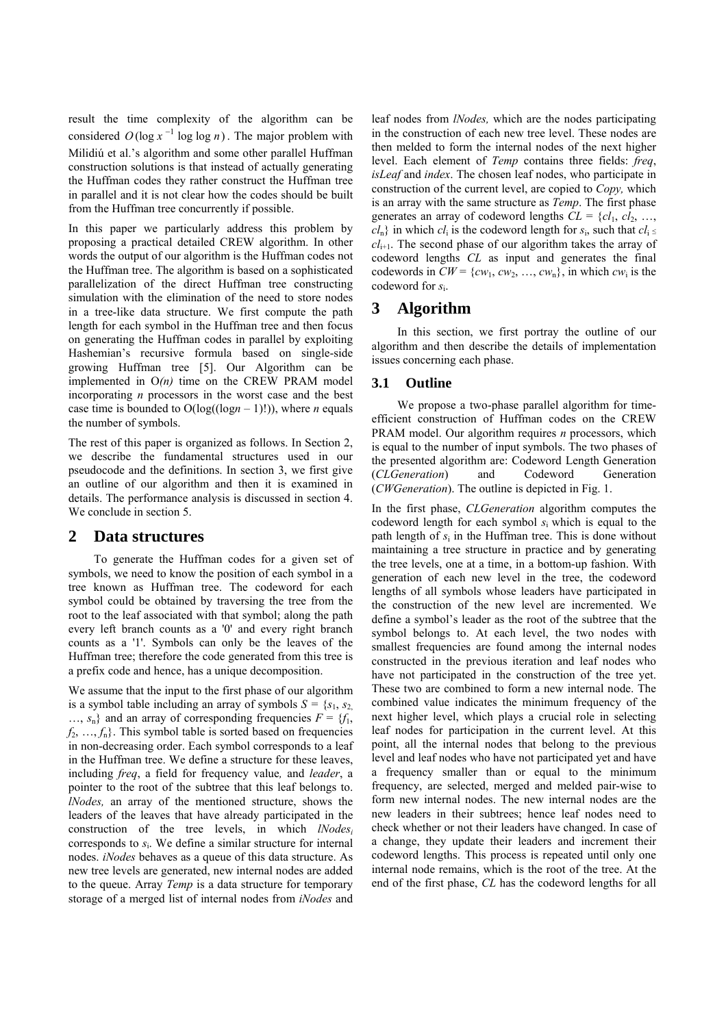result the time complexity of the algorithm can be considered  $O(\log x^{-1} \log \log n)$ . The major problem with Milidiú et al.'s algorithm and some other parallel Huffman construction solutions is that instead of actually generating the Huffman codes they rather construct the Huffman tree in parallel and it is not clear how the codes should be built from the Huffman tree concurrently if possible.

In this paper we particularly address this problem by proposing a practical detailed CREW algorithm. In other words the output of our algorithm is the Huffman codes not the Huffman tree. The algorithm is based on a sophisticated parallelization of the direct Huffman tree constructing simulation with the elimination of the need to store nodes in a tree-like data structure. We first compute the path length for each symbol in the Huffman tree and then focus on generating the Huffman codes in parallel by exploiting Hashemian's recursive formula based on single-side growing Huffman tree [5]. Our Algorithm can be implemented in O*(n)* time on the CREW PRAM model incorporating *n* processors in the worst case and the best case time is bounded to  $O(log((log n - 1)!))$ , where *n* equals the number of symbols.

The rest of this paper is organized as follows. In Section 2, we describe the fundamental structures used in our pseudocode and the definitions. In section 3, we first give an outline of our algorithm and then it is examined in details. The performance analysis is discussed in section 4. We conclude in section 5.

## **2 Data structures**

To generate the Huffman codes for a given set of symbols, we need to know the position of each symbol in a tree known as Huffman tree. The codeword for each symbol could be obtained by traversing the tree from the root to the leaf associated with that symbol; along the path every left branch counts as a '0' and every right branch counts as a '1'. Symbols can only be the leaves of the Huffman tree; therefore the code generated from this tree is a prefix code and hence, has a unique decomposition.

We assume that the input to the first phase of our algorithm is a symbol table including an array of symbols  $S = \{s_1, s_2\}$  $..., s_n$ } and an array of corresponding frequencies  $F = \{f_1, f_2, \ldots, f_n\}$  $f_2, \ldots, f_n$ . This symbol table is sorted based on frequencies in non-decreasing order. Each symbol corresponds to a leaf in the Huffman tree. We define a structure for these leaves, including *freq*, a field for frequency value*,* and *leader*, a pointer to the root of the subtree that this leaf belongs to. *lNodes,* an array of the mentioned structure, shows the leaders of the leaves that have already participated in the construction of the tree levels, in which *lNodesi* corresponds to *s*i. We define a similar structure for internal nodes. *iNodes* behaves as a queue of this data structure. As new tree levels are generated, new internal nodes are added to the queue. Array *Temp* is a data structure for temporary storage of a merged list of internal nodes from *iNodes* and leaf nodes from *lNodes,* which are the nodes participating in the construction of each new tree level. These nodes are then melded to form the internal nodes of the next higher level. Each element of *Temp* contains three fields: *freq*, *isLeaf* and *index*. The chosen leaf nodes, who participate in construction of the current level, are copied to *Copy,* which is an array with the same structure as *Temp*. The first phase generates an array of codeword lengths  $CL = \{cl_1, cl_2, ...,$  $cl_n$ } in which  $cl_i$  is the codeword length for  $s_i$ , such that  $cl_i \leq$ *cl*i+1. The second phase of our algorithm takes the array of codeword lengths *CL* as input and generates the final codewords in  $CW = \{cw_1, cw_2, ..., cw_n\}$ , in which  $cw_i$  is the codeword for *s*i.

## **3 Algorithm**

 In this section, we first portray the outline of our algorithm and then describe the details of implementation issues concerning each phase.

### **3.1 Outline**

 We propose a two-phase parallel algorithm for timeefficient construction of Huffman codes on the CREW PRAM model. Our algorithm requires *n* processors, which is equal to the number of input symbols. The two phases of the presented algorithm are: Codeword Length Generation (*CLGeneration*) and Codeword Generation (*CWGeneration*). The outline is depicted in Fig. 1.

In the first phase, *CLGeneration* algorithm computes the codeword length for each symbol *s*i which is equal to the path length of *s*i in the Huffman tree. This is done without maintaining a tree structure in practice and by generating the tree levels, one at a time, in a bottom-up fashion. With generation of each new level in the tree, the codeword lengths of all symbols whose leaders have participated in the construction of the new level are incremented. We define a symbol's leader as the root of the subtree that the symbol belongs to. At each level, the two nodes with smallest frequencies are found among the internal nodes constructed in the previous iteration and leaf nodes who have not participated in the construction of the tree yet. These two are combined to form a new internal node. The combined value indicates the minimum frequency of the next higher level, which plays a crucial role in selecting leaf nodes for participation in the current level. At this point, all the internal nodes that belong to the previous level and leaf nodes who have not participated yet and have a frequency smaller than or equal to the minimum frequency, are selected, merged and melded pair-wise to form new internal nodes. The new internal nodes are the new leaders in their subtrees; hence leaf nodes need to check whether or not their leaders have changed. In case of a change, they update their leaders and increment their codeword lengths. This process is repeated until only one internal node remains, which is the root of the tree. At the end of the first phase, *CL* has the codeword lengths for all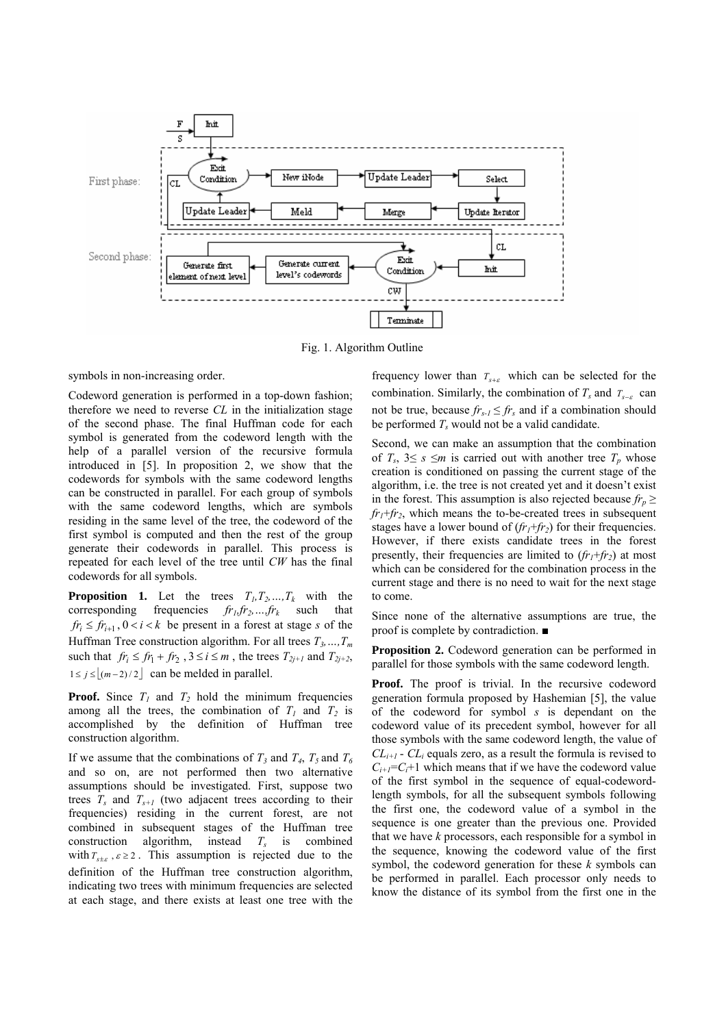

Fig. 1. Algorithm Outline

symbols in non-increasing order.

Codeword generation is performed in a top-down fashion; therefore we need to reverse *CL* in the initialization stage of the second phase. The final Huffman code for each symbol is generated from the codeword length with the help of a parallel version of the recursive formula introduced in [5]. In proposition 2, we show that the codewords for symbols with the same codeword lengths can be constructed in parallel. For each group of symbols with the same codeword lengths, which are symbols residing in the same level of the tree, the codeword of the first symbol is computed and then the rest of the group generate their codewords in parallel. This process is repeated for each level of the tree until *CW* has the final codewords for all symbols.

**Proposition 1.** Let the trees  $T_1, T_2, ..., T_k$  with the corresponding frequencies  $fr_1, fr_2, ..., fr_k$  such that  $fr_i \leq fr_{i+1}$ ,  $0 < i < k$  be present in a forest at stage *s* of the Huffman Tree construction algorithm. For all trees  $T_3, ..., T_m$ such that  $fr_i \leq fr_1 + fr_2$ ,  $3 \leq i \leq m$ , the trees  $T_{2j+1}$  and  $T_{2j+2}$ ,  $1 \le j \le |(m-2)/2|$  can be melded in parallel.

**Proof.** Since  $T_1$  and  $T_2$  hold the minimum frequencies among all the trees, the combination of  $T_1$  and  $T_2$  is accomplished by the definition of Huffman tree construction algorithm.

If we assume that the combinations of  $T_3$  and  $T_4$ ,  $T_5$  and  $T_6$ and so on, are not performed then two alternative assumptions should be investigated. First, suppose two trees  $T_s$  and  $T_{s+1}$  (two adjacent trees according to their frequencies) residing in the current forest, are not combined in subsequent stages of the Huffman tree construction algorithm, instead *Ts* is combined with  $T_{s\pm\epsilon}$ ,  $\epsilon \geq 2$ . This assumption is rejected due to the definition of the Huffman tree construction algorithm, indicating two trees with minimum frequencies are selected at each stage, and there exists at least one tree with the

frequency lower than *Ts*<sup>+</sup>ε which can be selected for the combination. Similarly, the combination of  $T_s$  and  $T_{s-\epsilon}$  can not be true, because  $fr_{s-1} \leq fr_s$  and if a combination should be performed  $T_s$  would not be a valid candidate.

Second, we can make an assumption that the combination of  $T_s$ ,  $3 \leq s \leq m$  is carried out with another tree  $T_p$  whose creation is conditioned on passing the current stage of the algorithm, i.e. the tree is not created yet and it doesn't exist in the forest. This assumption is also rejected because  $fr_n \ge$  $fr_1 + fr_2$ , which means the to-be-created trees in subsequent stages have a lower bound of  $(fr_1+f r_2)$  for their frequencies. However, if there exists candidate trees in the forest presently, their frequencies are limited to  $(f<sub>r</sub>+f<sub>r2</sub>)$  at most which can be considered for the combination process in the current stage and there is no need to wait for the next stage to come.

Since none of the alternative assumptions are true, the proof is complete by contradiction. ■

**Proposition 2.** Codeword generation can be performed in parallel for those symbols with the same codeword length.

**Proof.** The proof is trivial. In the recursive codeword generation formula proposed by Hashemian [5], the value of the codeword for symbol *s* is dependant on the codeword value of its precedent symbol, however for all those symbols with the same codeword length, the value of  $CL_{i+1}$  -  $CL_i$  equals zero, as a result the formula is revised to  $C_{i+1}$ = $C_i$ +1 which means that if we have the codeword value of the first symbol in the sequence of equal-codewordlength symbols, for all the subsequent symbols following the first one, the codeword value of a symbol in the sequence is one greater than the previous one. Provided that we have *k* processors, each responsible for a symbol in the sequence, knowing the codeword value of the first symbol, the codeword generation for these *k* symbols can be performed in parallel. Each processor only needs to know the distance of its symbol from the first one in the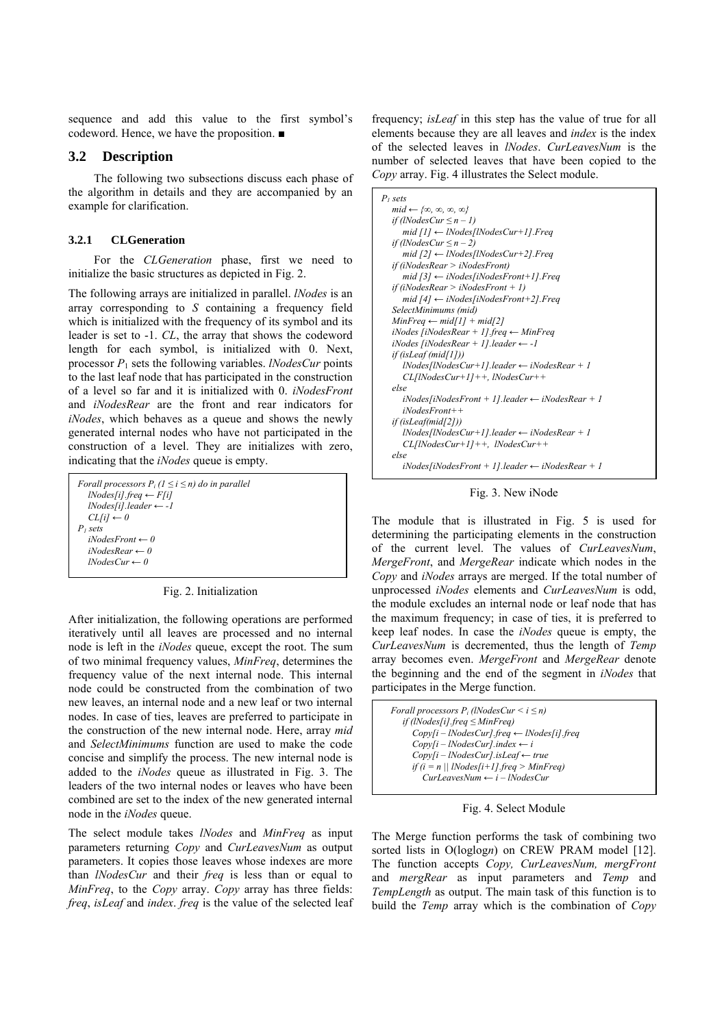sequence and add this value to the first symbol's codeword. Hence, we have the proposition. ■

## **3.2 Description**

 The following two subsections discuss each phase of the algorithm in details and they are accompanied by an example for clarification.

#### **3.2.1 CLGeneration**

 For the *CLGeneration* phase, first we need to initialize the basic structures as depicted in Fig. 2.

The following arrays are initialized in parallel. *lNodes* is an array corresponding to *S* containing a frequency field which is initialized with the frequency of its symbol and its leader is set to -1. *CL*, the array that shows the codeword length for each symbol, is initialized with 0. Next, processor *P*1 sets the following variables. *lNodesCur* points to the last leaf node that has participated in the construction of a level so far and it is initialized with 0. *iNodesFront* and *iNodesRear* are the front and rear indicators for *iNodes*, which behaves as a queue and shows the newly generated internal nodes who have not participated in the construction of a level. They are initializes with zero, indicating that the *iNodes* queue is empty.

| Forall processors $P_i$ ( $1 \le i \le n$ ) do in parallel |
|------------------------------------------------------------|
| $lNodes[i].freq \leftarrow F[i]$                           |
| $lNodes[i].leader \leftarrow -1$                           |
| $CL[i] \leftarrow 0$                                       |
| P <sub>i</sub> sets                                        |
| $iNodesFront \leftarrow 0$                                 |
| $iNodes$ <i>Rear</i> $\leftarrow$ 0                        |
| $lNodesCur \leftarrow 0$                                   |
|                                                            |

Fig. 2. Initialization

After initialization, the following operations are performed iteratively until all leaves are processed and no internal node is left in the *iNodes* queue, except the root. The sum of two minimal frequency values, *MinFreq*, determines the frequency value of the next internal node. This internal node could be constructed from the combination of two new leaves, an internal node and a new leaf or two internal nodes. In case of ties, leaves are preferred to participate in the construction of the new internal node. Here, array *mid* and *SelectMinimums* function are used to make the code concise and simplify the process. The new internal node is added to the *iNodes* queue as illustrated in Fig. 3. The leaders of the two internal nodes or leaves who have been combined are set to the index of the new generated internal node in the *iNodes* queue.

The select module takes *lNodes* and *MinFreq* as input parameters returning *Copy* and *CurLeavesNum* as output parameters. It copies those leaves whose indexes are more than *lNodesCur* and their *freq* is less than or equal to *MinFreq*, to the *Copy* array. *Copy* array has three fields: *freq*, *isLeaf* and *index*. *freq* is the value of the selected leaf

frequency; *isLeaf* in this step has the value of true for all elements because they are all leaves and *index* is the index of the selected leaves in *lNodes*. *CurLeavesNum* is the number of selected leaves that have been copied to the *Copy* array. Fig. 4 illustrates the Select module.

| P <sub>i</sub> sets                                                  |
|----------------------------------------------------------------------|
| $mid \leftarrow \{ \infty, \infty, \infty, \infty \}$                |
| if (lNodesCur $\leq n-1$ )                                           |
| mid $[1] \leftarrow$ lNodes [lNodes Cur+1]. Freq                     |
| if (lNodesCur $\leq n-2$ )                                           |
| mid $[2] \leftarrow \text{lNodes/lNodesCur+2} \text{l.Freq}$         |
| if (iNodesRear > iNodesFront)                                        |
| mid $[3] \leftarrow iNodes[iNodesFront+1]$ . Freq                    |
| if (iNodesRear > iNodesFront + 1)                                    |
| mid $[4] \leftarrow iNodes[iNodesFront + 2]$ . Freq                  |
| SelectMinimums (mid)                                                 |
| $MinFreq \leftarrow mid[1] + mid[2]$                                 |
| iNodes [iNodesRear + 1] freq $\leftarrow$ MinFreq                    |
| $i$ Nodes [ $i$ NodesRear + 1].leader $\leftarrow -1$                |
| if (isLeaf (mid[1]))                                                 |
| $1$ Nodes $1$ Nodes $Cur+11$ .leader $\leftarrow i$ Nodes $Rear + 1$ |
| $CL/INodesCur+1I++$ , lNodesCur++                                    |
| else                                                                 |
| $iNodes/iiNodesFront + 11. leader \leftarrow iNodesRear + 1$         |
| $iNodesFront++$                                                      |
| if (isLeaf(mid[2]))                                                  |
| $1$ Nodes[INodesCur+1].leader $\leftarrow$ iNodesRear + 1            |
| $CL/INodesCur+1I++, INodesCur++$                                     |
| else                                                                 |
| $iNodes/ iNodesFront + 11. leader \leftarrow iNodes Rear + 1$        |

Fig. 3. New iNode

The module that is illustrated in Fig. 5 is used for determining the participating elements in the construction of the current level. The values of *CurLeavesNum*, *MergeFront*, and *MergeRear* indicate which nodes in the *Copy* and *iNodes* arrays are merged. If the total number of unprocessed *iNodes* elements and *CurLeavesNum* is odd, the module excludes an internal node or leaf node that has the maximum frequency; in case of ties, it is preferred to keep leaf nodes. In case the *iNodes* queue is empty, the *CurLeavesNum* is decremented, thus the length of *Temp* array becomes even. *MergeFront* and *MergeRear* denote the beginning and the end of the segment in *iNodes* that participates in the Merge function.

| Forall processors $P_i$ (lNodesCur $\leq i \leq n$ )   |  |
|--------------------------------------------------------|--|
| if (lNodes[i] freq $\leq$ MinFreq)                     |  |
| $Copy[i - lNodesCur]$ freq $\leftarrow$ lNodes[i] freq |  |
| $Copy[i - INodesCur].index \leftarrow i$               |  |
| $Copy[i - lNodesCur]. isLeaf \leftarrow true$          |  |
| if $(i = n   $ lNodes $[i+1]$ freq > MinFreq)          |  |
| $CurLeavesNum \leftarrow i - lNodesCur$                |  |
|                                                        |  |

Fig. 4. Select Module

The Merge function performs the task of combining two sorted lists in O(loglogn) on CREW PRAM model [12]. The function accepts *Copy, CurLeavesNum, mergFront*  and *mergRear* as input parameters and *Temp* and *TempLength* as output. The main task of this function is to build the *Temp* array which is the combination of *Copy*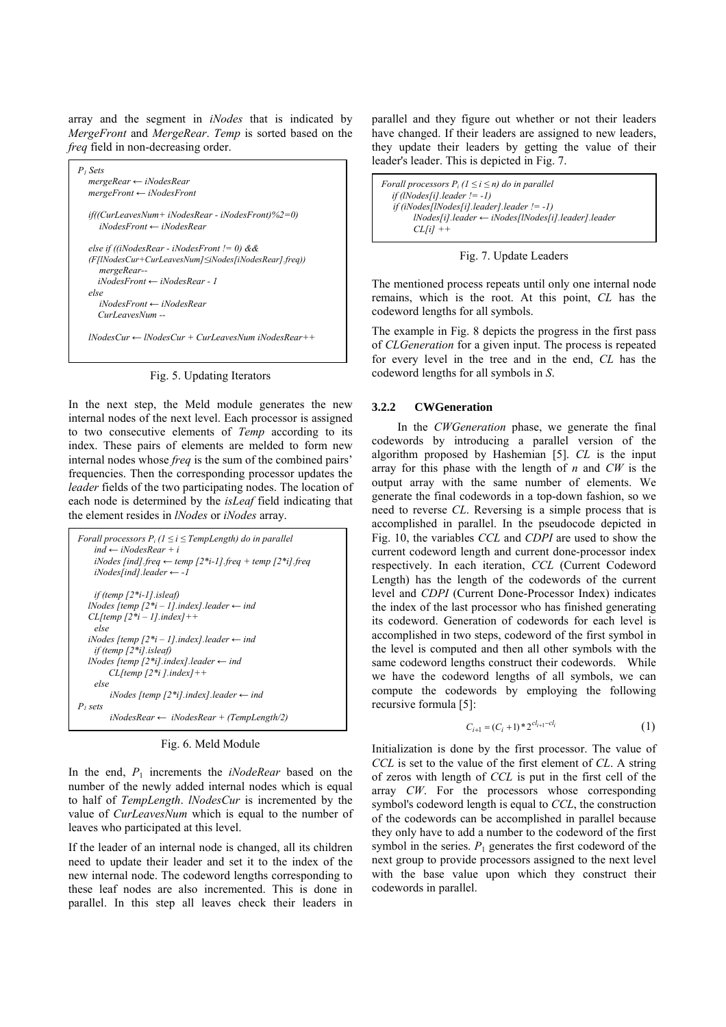array and the segment in *iNodes* that is indicated by *MergeFront* and *MergeRear*. *Temp* is sorted based on the *freq* field in non-decreasing order.



Fig. 5. Updating Iterators

In the next step, the Meld module generates the new internal nodes of the next level. Each processor is assigned to two consecutive elements of *Temp* according to its index. These pairs of elements are melded to form new internal nodes whose *freq* is the sum of the combined pairs' frequencies. Then the corresponding processor updates the *leader* fields of the two participating nodes. The location of each node is determined by the *isLeaf* field indicating that the element resides in *lNodes* or *iNodes* array.

```
Forall processors P_i (1 \le i \le TempLength) do in parallel
     ind ← iNodesRear + i 
    iNodes [ind].freq ← temp [2*i-1].freq + temp [2*i].freq
     iNodes[ind].leader ← -1 
     if (temp [2*i-1].isleaf) 
   lNodes [temp [2*i – 1].index].leader ← ind 
   CL[temp [2*i – 1].index]++ 
     else 
   iNodes [temp [2*i – 1].index].leader ← ind 
     if (temp [2*i].isleaf) 
   lNodes [temp [2*i].index].leader ← ind 
         CL[temp [2*i ].index]++ 
     else 
         iNodes [temp [2*i].index].leader ← ind 
P1 sets 
         iNodesRear ← iNodesRear + (TempLength/2)
```
Fig. 6. Meld Module

In the end, *P*1 increments the *iNodeRear* based on the number of the newly added internal nodes which is equal to half of *TempLength*. *lNodesCur* is incremented by the value of *CurLeavesNum* which is equal to the number of leaves who participated at this level.

If the leader of an internal node is changed, all its children need to update their leader and set it to the index of the new internal node. The codeword lengths corresponding to these leaf nodes are also incremented. This is done in parallel. In this step all leaves check their leaders in parallel and they figure out whether or not their leaders have changed. If their leaders are assigned to new leaders, they update their leaders by getting the value of their leader's leader. This is depicted in Fig. 7.

*Forall processors*  $P_i$  ( $1 \le i \le n$ ) do in parallel  *if (lNodes[i].leader != -1) if (iNodes[lNodes[i].leader].leader != -1) lNodes[i].leader ← iNodes[lNodes[i].leader].leader*   $CL[ii]$  +  $-$ 

```
Fig. 7. Update Leaders
```
The mentioned process repeats until only one internal node remains, which is the root. At this point, *CL* has the codeword lengths for all symbols.

The example in Fig. 8 depicts the progress in the first pass of *CLGeneration* for a given input. The process is repeated for every level in the tree and in the end, *CL* has the codeword lengths for all symbols in *S*.

#### **3.2.2 CWGeneration**

 In the *CWGeneration* phase, we generate the final codewords by introducing a parallel version of the algorithm proposed by Hashemian [5]. *CL* is the input array for this phase with the length of *n* and *CW* is the output array with the same number of elements. We generate the final codewords in a top-down fashion, so we need to reverse *CL*. Reversing is a simple process that is accomplished in parallel. In the pseudocode depicted in Fig. 10, the variables *CCL* and *CDPI* are used to show the current codeword length and current done-processor index respectively. In each iteration, *CCL* (Current Codeword Length) has the length of the codewords of the current level and *CDPI* (Current Done-Processor Index) indicates the index of the last processor who has finished generating its codeword. Generation of codewords for each level is accomplished in two steps, codeword of the first symbol in the level is computed and then all other symbols with the same codeword lengths construct their codewords. While we have the codeword lengths of all symbols, we can compute the codewords by employing the following recursive formula [5]:

$$
C_{i+1} = (C_i + 1) \cdot 2^{cl_{i+1} - cl_i} \tag{1}
$$

Initialization is done by the first processor. The value of *CCL* is set to the value of the first element of *CL*. A string of zeros with length of *CCL* is put in the first cell of the array *CW*. For the processors whose corresponding symbol's codeword length is equal to *CCL*, the construction of the codewords can be accomplished in parallel because they only have to add a number to the codeword of the first symbol in the series.  $P_1$  generates the first codeword of the next group to provide processors assigned to the next level with the base value upon which they construct their codewords in parallel.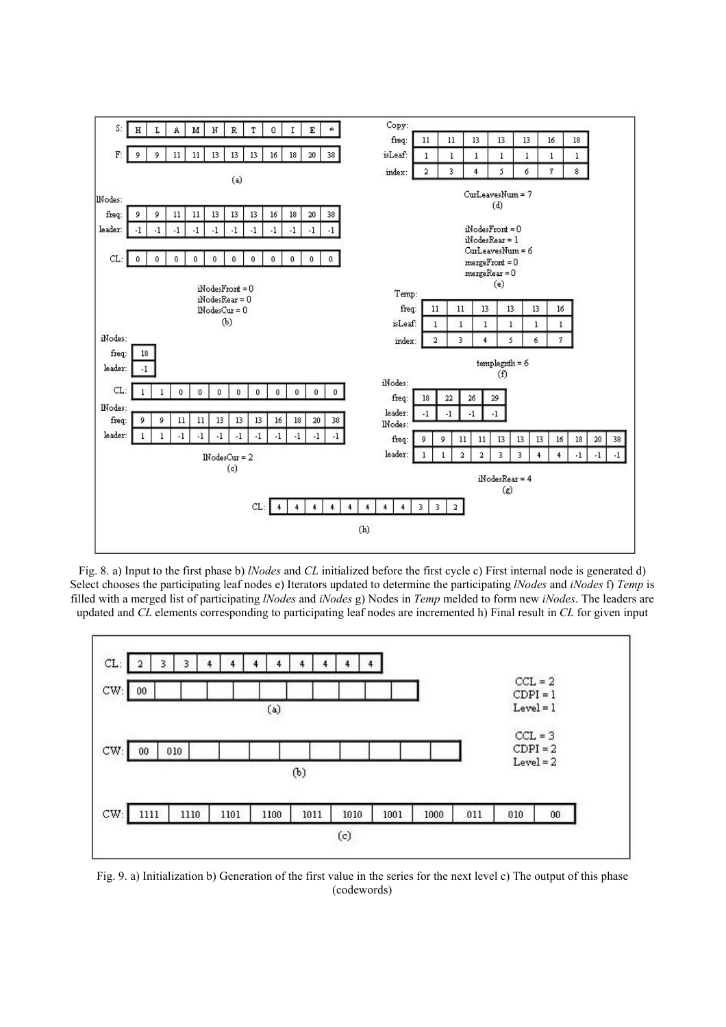

Fig. 8. a) Input to the first phase b) *lNodes* and *CL* initialized before the first cycle c) First internal node is generated d) Select chooses the participating leaf nodes e) Iterators updated to determine the participating *lNodes* and *iNodes* f) *Temp* is filled with a merged list of participating *lNodes* and *iNodes* g) Nodes in *Temp* melded to form new *iNodes*. The leaders are updated and *CL* elements corresponding to participating leaf nodes are incremented h) Final result in *CL* for given input



Fig. 9. a) Initialization b) Generation of the first value in the series for the next level c) The output of this phase (codewords)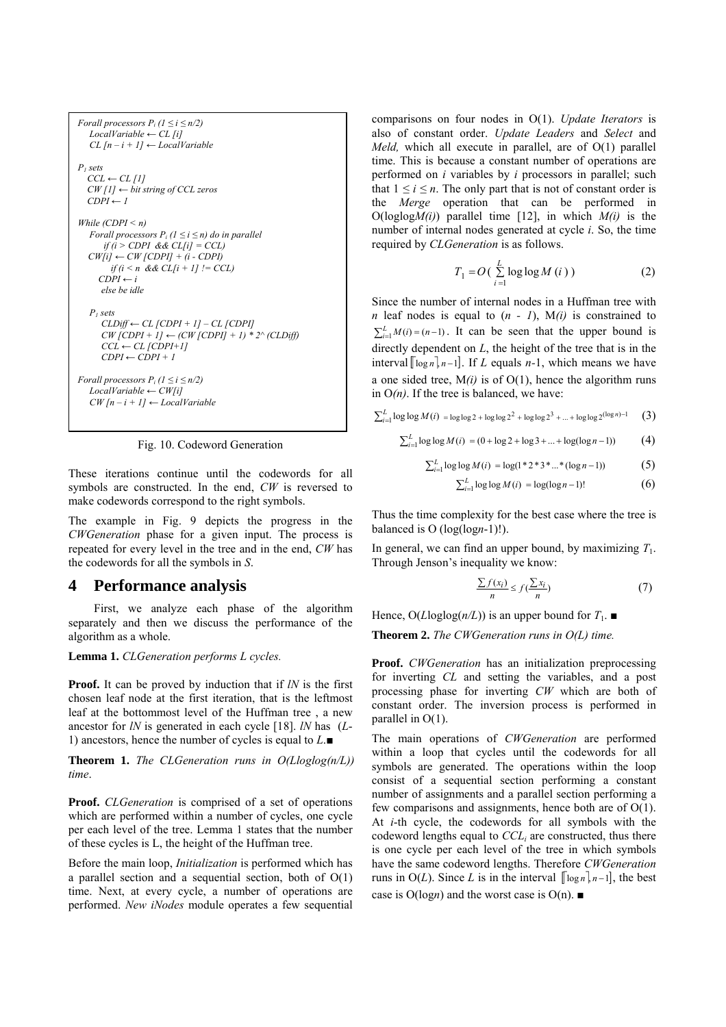| Forall processors $P_i$ ( $1 \le i \le n/2$ )<br>$LocalVariable \leftarrow CL$ [i]<br>$CL$ [n – i + 1] $\leftarrow$ LocalVariable                                                                                                                      |
|--------------------------------------------------------------------------------------------------------------------------------------------------------------------------------------------------------------------------------------------------------|
| P <sub>i</sub> sets<br>$CCL \leftarrow CL$ [1]<br>$CW[1] \leftarrow$ bit string of CCL zeros<br>$CDPI \leftarrow I$                                                                                                                                    |
| While $(CDPI \leq n)$<br>Forall processors $P_i$ ( $1 \le i \le n$ ) do in parallel<br>if $(i > CDPI \& CL[i] = CCL)$<br>$CW[i] \leftarrow CW [CDPI] + (i - CDPI)$<br>if $(i < n \& & \text{CL}[i + 1] := CCL)$<br>$CDPI \leftarrow i$<br>else be idle |
| P <sub>i</sub> sets<br>$CLDiff \leftarrow CL$ [CDPI + 1] – CL [CDPI]<br>$CW$ [CDPI + 1] $\leftarrow$ (CW [CDPI] + 1) * 2^ (CLDiff)<br>$CCL \leftarrow CL$ [CDPI+1]<br>$CDPI \leftarrow CDPI + I$                                                       |
| Forall processors $P_i$ ( $1 \le i \le n/2$ )<br>$LocalVariable \leftarrow CWI$<br>$CW[n-i+1] \leftarrow LocalVariable$                                                                                                                                |

Fig. 10. Codeword Generation

These iterations continue until the codewords for all symbols are constructed. In the end, *CW* is reversed to make codewords correspond to the right symbols.

The example in Fig. 9 depicts the progress in the *CWGeneration* phase for a given input. The process is repeated for every level in the tree and in the end, *CW* has the codewords for all the symbols in *S*.

## **4 Performance analysis**

 First, we analyze each phase of the algorithm separately and then we discuss the performance of the algorithm as a whole.

**Lemma 1.** *CLGeneration performs L cycles.* 

**Proof.** It can be proved by induction that if *lN* is the first chosen leaf node at the first iteration, that is the leftmost leaf at the bottommost level of the Huffman tree , a new ancestor for *lN* is generated in each cycle [18]. *lN* has (*L*-1) ancestors, hence the number of cycles is equal to *L*.■

**Theorem 1.** *The CLGeneration runs in O(Lloglog(n/L)) time*.

**Proof.** *CLGeneration* is comprised of a set of operations which are performed within a number of cycles, one cycle per each level of the tree. Lemma 1 states that the number of these cycles is L, the height of the Huffman tree.

Before the main loop, *Initialization* is performed which has a parallel section and a sequential section, both of  $O(1)$ time. Next, at every cycle, a number of operations are performed. *New iNodes* module operates a few sequential comparisons on four nodes in O(1). *Update Iterators* is also of constant order. *Update Leaders* and *Select* and *Meld,* which all execute in parallel, are of O(1) parallel time. This is because a constant number of operations are performed on *i* variables by *i* processors in parallel; such that  $1 \le i \le n$ . The only part that is not of constant order is the *Merge* operation that can be performed in  $O(loglogM(i))$  parallel time [12], in which  $M(i)$  is the number of internal nodes generated at cycle *i*. So, the time required by *CLGeneration* is as follows.

$$
T_1 = O\left(\sum_{i=1}^{L} \log \log M\left(i\right)\right) \tag{2}
$$

Since the number of internal nodes in a Huffman tree with *n* leaf nodes is equal to  $(n - 1)$ ,  $M(i)$  is constrained to  $\sum_{i=1}^{L} M(i) = (n-1)$ . It can be seen that the upper bound is directly dependent on *L*, the height of the tree that is in the interval  $\lceil \log n \rceil$ <sub>*n*−1</sub>. If *L* equals *n*−1, which means we have a one sided tree, M*(i)* is of O(1), hence the algorithm runs in  $O(n)$ . If the tree is balanced, we have:

$$
\sum_{i=1}^{L} \log \log M(i) = \log \log 2 + \log \log 2^{2} + \log \log 2^{3} + ... + \log \log 2^{(\log n) - 1}
$$
 (3)

$$
\sum_{i=1}^{L} \log \log M(i) = (0 + \log 2 + \log 3 + ... + \log(\log n - 1))
$$
 (4)

$$
\sum_{i=1}^{L} \log \log M(i) = \log(1^* 2^* 3^* ...^* (\log n - 1))
$$
 (5)

$$
\sum_{i=1}^{L} \log \log M(i) = \log(\log n - 1)! \tag{6}
$$

Thus the time complexity for the best case where the tree is balanced is O (log(log*n*-1)!).

In general, we can find an upper bound, by maximizing  $T_1$ . Through Jenson's inequality we know:

$$
\frac{\sum f(x_i)}{n} \le f(\frac{\sum x_i}{n})\tag{7}
$$

Hence,  $O(L \log \log (n/L))$  is an upper bound for  $T_1$ .

**Theorem 2.** *The CWGeneration runs in O(L) time.*

**Proof.** *CWGeneration* has an initialization preprocessing for inverting *CL* and setting the variables, and a post processing phase for inverting *CW* which are both of constant order. The inversion process is performed in parallel in O(1).

The main operations of *CWGeneration* are performed within a loop that cycles until the codewords for all symbols are generated. The operations within the loop consist of a sequential section performing a constant number of assignments and a parallel section performing a few comparisons and assignments, hence both are of O(1). At *i*-th cycle, the codewords for all symbols with the codeword lengths equal to *CCLi* are constructed, thus there is one cycle per each level of the tree in which symbols have the same codeword lengths. Therefore *CWGeneration* runs in  $O(L)$ . Since *L* is in the interval  $[\lceil \log n \rceil, n-1]$ , the best case is O(log*n*) and the worst case is O(n). ■